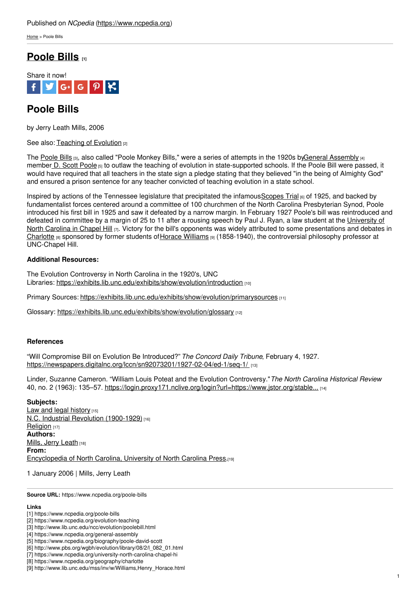[Home](https://www.ncpedia.org/) > Poole Bills

# **[Poole](https://www.ncpedia.org/poole-bills) Bills [1]**



# **Poole Bills**

by Jerry Leath Mills, 2006

See also: [Teaching](https://www.ncpedia.org/evolution-teaching) of Evolution [2]

The [Poole](http://www.lib.unc.edu/ncc/evolution/poolebill.html) Bills [3], also called "Poole Monkey Bills," were a series of attempts in the 1920s by General [Assembly](https://www.ncpedia.org/general-assembly) [4] member D. Scott [Poole](https://www.ncpedia.org/biography/poole-david-scott) [5] to outlaw the teaching of evolution in state-supported schools. If the Poole Bill were passed, it would have required that all teachers in the state sign a pledge stating that they believed "in the being of Almighty God" and ensured a prison sentence for any teacher [convicted](http://www.social9.com) of teaching evolution in a state school.

Inspired by actions of the Tennessee legislature that precipitated the infamous [Scopes](http://www.pbs.org/wgbh/evolution/library/08/2/l_082_01.html) Trial [6] of 1925, and backed by fundamentalist forces centered around a committee of 100 churchmen of the North Carolina Presbyterian Synod, Poole introduced his first bill in 1925 and saw it defeated by a narrow margin. In February 1927 Poole's bill was reintroduced and defeated in committee by a margin of 25 to 11 after a rousing speech by Paul J. Ryan, a law student at the University of North Carolina in Chapel Hill [7]. Victory for the bill's opponents was widely attributed to some [presentations](https://www.ncpedia.org/university-north-carolina-chapel-hi) and debates in [Charlotte](https://www.ncpedia.org/geography/charlotte) [8] sponsored by former students of Horace [Williams](http://www.lib.unc.edu/mss/inv/w/Williams,Henry_Horace.html) [9] (1858-1940), the controversial philosophy professor at UNC-Chapel Hill.

### **Additional Resources:**

The Evolution Controversy in North Carolina in the 1920's, UNC Libraries: <https://exhibits.lib.unc.edu/exhibits/show/evolution/introduction> [10]

Primary Sources: [https://exhibits.lib.unc.edu/exhibits/show/evolution/primarysources](http://www.lib.unc.edu/ncc/evolution/primarysources.html) [11]

Glossary: [https://exhibits.lib.unc.edu/exhibits/show/evolution/glossary](http://www.lib.unc.edu/ncc/evolution/glossary.html) [12]

### **References**

"Will Compromise Bill on Evolution Be Introduced?" *The Concord Daily Tribune*, February 4, 1927. [https://newspapers.digitalnc.org/lccn/sn92073201/1927-02-04/ed-1/seq-1/](https://newspapers.digitalnc.org/lccn/sn92073201/1927-02-04/ed-1/seq-1/�) [13]

Linder, Suzanne Cameron. "William Louis Poteat and the Evolution Controversy."*The North Carolina Historical Review* 40, no. 2 (1963): 135–57. [https://login.proxy171.nclive.org/login?url=https://www.jstor.org/stable...](https://login.proxy171.nclive.org/login?url=https://www.jstor.org/stable/23517452) [14]

#### **Subjects:**

Law and legal [history](https://www.ncpedia.org/category/subjects/laws) [15] N.C. Industrial Revolution [\(1900-1929\)](https://www.ncpedia.org/category/subjects/nc-industrial-rev) [16] [Religion](https://www.ncpedia.org/category/subjects/religion) [17] **Authors:** Mills, Jerry [Leath](https://www.ncpedia.org/category/authors/mills-jerry-leath) [18] **From:** [Encyclopedia](https://www.ncpedia.org/category/entry-source/encyclopedia-) of North Carolina, University of North Carolina Press.[19]

1 January 2006 | Mills, Jerry Leath

**Source URL:** https://www.ncpedia.org/poole-bills

#### **Links**

- [1] https://www.ncpedia.org/poole-bills
- [2] https://www.ncpedia.org/evolution-teaching
- [3] http://www.lib.unc.edu/ncc/evolution/poolebill.html
- [4] https://www.ncpedia.org/general-assembly
- [5] https://www.ncpedia.org/biography/poole-david-scott
- [6] http://www.pbs.org/wgbh/evolution/library/08/2/l\_082\_01.html [7] https://www.ncpedia.org/university-north-carolina-chapel-hi
- [8] https://www.ncpedia.org/geography/charlotte

<sup>[9]</sup> http://www.lib.unc.edu/mss/inv/w/Williams,Henry\_Horace.html